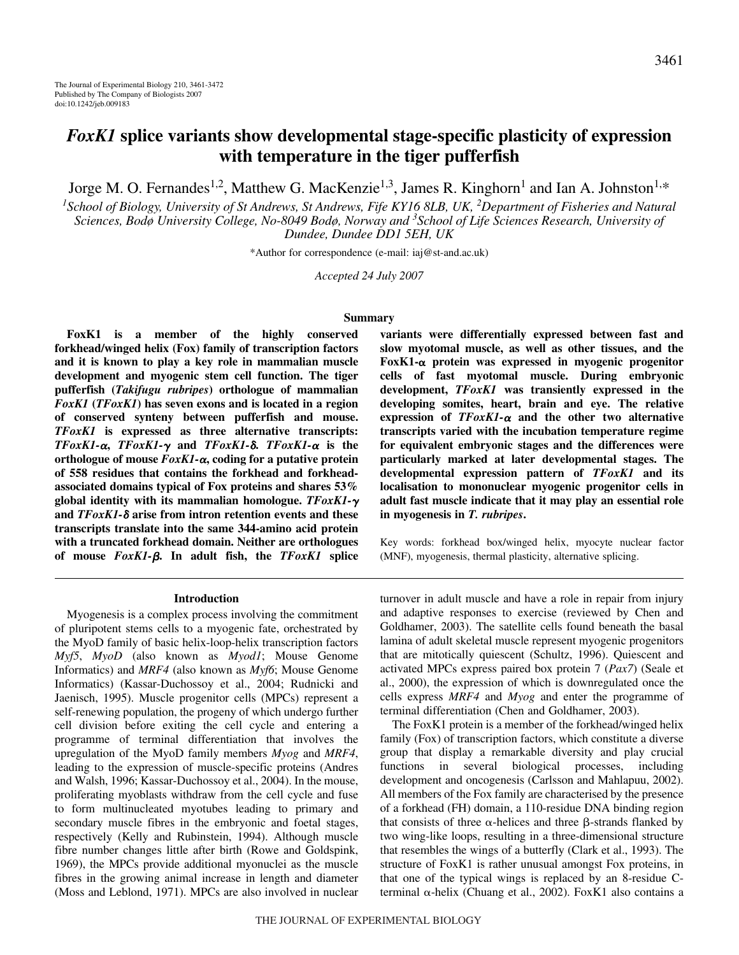# *FoxK1* **splice variants show developmental stage-specific plasticity of expression with temperature in the tiger pufferfish**

Jorge M. O. Fernandes<sup>1,2</sup>, Matthew G. MacKenzie<sup>1,3</sup>, James R. Kinghorn<sup>1</sup> and Ian A. Johnston<sup>1,\*</sup>

*1 School of Biology, University of St Andrews, St Andrews, Fife KY16 8LB, UK, 2 Department of Fisheries and Natural Sciences, Bodø University College, No-8049 Bodø, Norway and 3 School of Life Sciences Research, University of Dundee, Dundee DD1 5EH, UK*

\*Author for correspondence (e-mail: iaj@st-and.ac.uk)

*Accepted 24 July 2007*

### **Summary**

**FoxK1 is a member of the highly conserved forkhead/winged helix (Fox) family of transcription factors and it is known to play a key role in mammalian muscle development and myogenic stem cell function. The tiger pufferfish (***Takifugu rubripes***) orthologue of mammalian** *FoxK1* **(***TFoxK1***) has seven exons and is located in a region of conserved synteny between pufferfish and mouse.** *TFoxK1* **is expressed as three alternative transcripts:**  $TFoxK1-\alpha$ ,  $TFoxK1-\gamma$  and  $TFoxK1-\delta$ .  $TFoxK1-\alpha$  is the **orthologue of mouse** *FoxK1-*-**, coding for a putative protein of 558 residues that contains the forkhead and forkheadassociated domains typical of Fox proteins and shares 53% global identity with its mammalian homologue.** *TFoxK1* **and** *TFoxK1-* **arise from intron retention events and these transcripts translate into the same 344-amino acid protein with a truncated forkhead domain. Neither are orthologues of mouse** *FoxK1-***. In adult fish, the** *TFoxK1* **splice**

#### **Introduction**

Myogenesis is a complex process involving the commitment of pluripotent stems cells to a myogenic fate, orchestrated by the MyoD family of basic helix-loop-helix transcription factors *Myf5*, *MyoD* (also known as *Myod1*; Mouse Genome Informatics) and *MRF4* (also known as *Myf6*; Mouse Genome Informatics) (Kassar-Duchossoy et al., 2004; Rudnicki and Jaenisch, 1995). Muscle progenitor cells (MPCs) represent a self-renewing population, the progeny of which undergo further cell division before exiting the cell cycle and entering a programme of terminal differentiation that involves the upregulation of the MyoD family members *Myog* and *MRF4*, leading to the expression of muscle-specific proteins (Andres and Walsh, 1996; Kassar-Duchossoy et al., 2004). In the mouse, proliferating myoblasts withdraw from the cell cycle and fuse to form multinucleated myotubes leading to primary and secondary muscle fibres in the embryonic and foetal stages, respectively (Kelly and Rubinstein, 1994). Although muscle fibre number changes little after birth (Rowe and Goldspink, 1969), the MPCs provide additional myonuclei as the muscle fibres in the growing animal increase in length and diameter (Moss and Leblond, 1971). MPCs are also involved in nuclear **variants were differentially expressed between fast and slow myotomal muscle, as well as other tissues, and the** FoxK1- $\alpha$  protein was expressed in myogenic progenitor **cells of fast myotomal muscle. During embryonic development,** *TFoxK1* **was transiently expressed in the developing somites, heart, brain and eye. The relative expression of** *TFoxK1-*- **and the other two alternative transcripts varied with the incubation temperature regime for equivalent embryonic stages and the differences were particularly marked at later developmental stages. The developmental expression pattern of** *TFoxK1* **and its localisation to mononuclear myogenic progenitor cells in adult fast muscle indicate that it may play an essential role in myogenesis in** *T. rubripes***.**

Key words: forkhead box/winged helix, myocyte nuclear factor (MNF), myogenesis, thermal plasticity, alternative splicing.

turnover in adult muscle and have a role in repair from injury and adaptive responses to exercise (reviewed by Chen and Goldhamer, 2003). The satellite cells found beneath the basal lamina of adult skeletal muscle represent myogenic progenitors that are mitotically quiescent (Schultz, 1996). Quiescent and activated MPCs express paired box protein 7 (*Pax7*) (Seale et al., 2000), the expression of which is downregulated once the cells express *MRF4* and *Myog* and enter the programme of terminal differentiation (Chen and Goldhamer, 2003).

The FoxK1 protein is a member of the forkhead/winged helix family (Fox) of transcription factors, which constitute a diverse group that display a remarkable diversity and play crucial functions in several biological processes, including development and oncogenesis (Carlsson and Mahlapuu, 2002). All members of the Fox family are characterised by the presence of a forkhead (FH) domain, a 110-residue DNA binding region that consists of three  $\alpha$ -helices and three  $\beta$ -strands flanked by two wing-like loops, resulting in a three-dimensional structure that resembles the wings of a butterfly (Clark et al., 1993). The structure of FoxK1 is rather unusual amongst Fox proteins, in that one of the typical wings is replaced by an 8-residue Cterminal  $\alpha$ -helix (Chuang et al., 2002). FoxK1 also contains a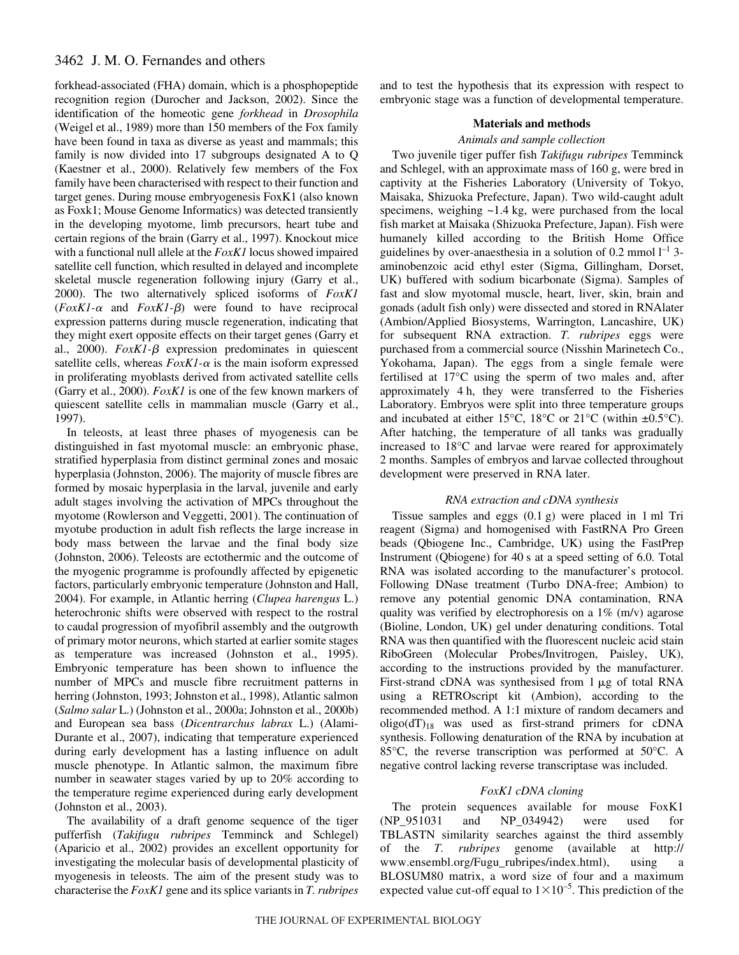forkhead-associated (FHA) domain, which is a phosphopeptide recognition region (Durocher and Jackson, 2002). Since the identification of the homeotic gene *forkhead* in *Drosophila* (Weigel et al., 1989) more than 150 members of the Fox family have been found in taxa as diverse as yeast and mammals; this family is now divided into 17 subgroups designated A to Q (Kaestner et al., 2000). Relatively few members of the Fox family have been characterised with respect to their function and target genes. During mouse embryogenesis FoxK1 (also known as Foxk1; Mouse Genome Informatics) was detected transiently in the developing myotome, limb precursors, heart tube and certain regions of the brain (Garry et al., 1997). Knockout mice with a functional null allele at the *FoxK1* locus showed impaired satellite cell function, which resulted in delayed and incomplete skeletal muscle regeneration following injury (Garry et al., 2000). The two alternatively spliced isoforms of *FoxK1*  $(FoxK1-\alpha$  and  $FoxK1-\beta)$  were found to have reciprocal expression patterns during muscle regeneration, indicating that they might exert opposite effects on their target genes (Garry et al., 2000).  $F\alpha XI - \beta$  expression predominates in quiescent satellite cells, whereas  $FoxK1-\alpha$  is the main isoform expressed in proliferating myoblasts derived from activated satellite cells (Garry et al., 2000). *FoxK1* is one of the few known markers of quiescent satellite cells in mammalian muscle (Garry et al., 1997).

In teleosts, at least three phases of myogenesis can be distinguished in fast myotomal muscle: an embryonic phase, stratified hyperplasia from distinct germinal zones and mosaic hyperplasia (Johnston, 2006). The majority of muscle fibres are formed by mosaic hyperplasia in the larval, juvenile and early adult stages involving the activation of MPCs throughout the myotome (Rowlerson and Veggetti, 2001). The continuation of myotube production in adult fish reflects the large increase in body mass between the larvae and the final body size (Johnston, 2006). Teleosts are ectothermic and the outcome of the myogenic programme is profoundly affected by epigenetic factors, particularly embryonic temperature (Johnston and Hall, 2004). For example, in Atlantic herring (*Clupea harengus* L.) heterochronic shifts were observed with respect to the rostral to caudal progression of myofibril assembly and the outgrowth of primary motor neurons, which started at earlier somite stages as temperature was increased (Johnston et al., 1995). Embryonic temperature has been shown to influence the number of MPCs and muscle fibre recruitment patterns in herring (Johnston, 1993; Johnston et al., 1998), Atlantic salmon (*Salmo salar* L.) (Johnston et al., 2000a; Johnston et al., 2000b) and European sea bass (*Dicentrarchus labrax* L.) (Alami-Durante et al., 2007), indicating that temperature experienced during early development has a lasting influence on adult muscle phenotype. In Atlantic salmon, the maximum fibre number in seawater stages varied by up to 20% according to the temperature regime experienced during early development (Johnston et al., 2003).

The availability of a draft genome sequence of the tiger pufferfish (*Takifugu rubripes* Temminck and Schlegel) (Aparicio et al., 2002) provides an excellent opportunity for investigating the molecular basis of developmental plasticity of myogenesis in teleosts. The aim of the present study was to characterise the *FoxK1* gene and its splice variants in *T. rubripes*

and to test the hypothesis that its expression with respect to embryonic stage was a function of developmental temperature.

### **Materials and methods**

## *Animals and sample collection*

Two juvenile tiger puffer fish *Takifugu rubripes* Temminck and Schlegel, with an approximate mass of 160 g, were bred in captivity at the Fisheries Laboratory (University of Tokyo, Maisaka, Shizuoka Prefecture, Japan). Two wild-caught adult specimens, weighing ~1.4 kg, were purchased from the local fish market at Maisaka (Shizuoka Prefecture, Japan). Fish were humanely killed according to the British Home Office guidelines by over-anaesthesia in a solution of 0.2 mmol  $l^{-1}$  3aminobenzoic acid ethyl ester (Sigma, Gillingham, Dorset, UK) buffered with sodium bicarbonate (Sigma). Samples of fast and slow myotomal muscle, heart, liver, skin, brain and gonads (adult fish only) were dissected and stored in RNAlater (Ambion/Applied Biosystems, Warrington, Lancashire, UK) for subsequent RNA extraction. *T. rubripes* eggs were purchased from a commercial source (Nisshin Marinetech Co., Yokohama, Japan). The eggs from a single female were fertilised at 17°C using the sperm of two males and, after approximately  $4 h$ , they were transferred to the Fisheries Laboratory. Embryos were split into three temperature groups and incubated at either 15°C, 18°C or 21°C (within  $\pm 0.5$ °C). After hatching, the temperature of all tanks was gradually increased to 18°C and larvae were reared for approximately 2 months. Samples of embryos and larvae collected throughout development were preserved in RNA later.

### *RNA extraction and cDNA synthesis*

Tissue samples and eggs  $(0.1 g)$  were placed in 1 ml Tri reagent (Sigma) and homogenised with FastRNA Pro Green beads (Qbiogene Inc., Cambridge, UK) using the FastPrep Instrument (Qbiogene) for 40 s at a speed setting of 6.0. Total RNA was isolated according to the manufacturer's protocol. Following DNase treatment (Turbo DNA-free; Ambion) to remove any potential genomic DNA contamination, RNA quality was verified by electrophoresis on a  $1\%$  (m/v) agarose (Bioline, London, UK) gel under denaturing conditions. Total RNA was then quantified with the fluorescent nucleic acid stain RiboGreen (Molecular Probes/Invitrogen, Paisley, UK), according to the instructions provided by the manufacturer. First-strand cDNA was synthesised from  $1 \mu g$  of total RNA using a RETROscript kit (Ambion), according to the recommended method. A 1:1 mixture of random decamers and  $oligo(dT)_{18}$  was used as first-strand primers for cDNA synthesis. Following denaturation of the RNA by incubation at 85°C, the reverse transcription was performed at 50°C. A negative control lacking reverse transcriptase was included.

### *FoxK1 cDNA cloning*

The protein sequences available for mouse FoxK1 (NP\_951031 and NP\_034942) were used for TBLASTN similarity searches against the third assembly of the *T. rubripes* genome (available at http:// www.ensembl.org/Fugu\_rubripes/index.html), using a BLOSUM80 matrix, a word size of four and a maximum expected value cut-off equal to  $1 \times 10^{-5}$ . This prediction of the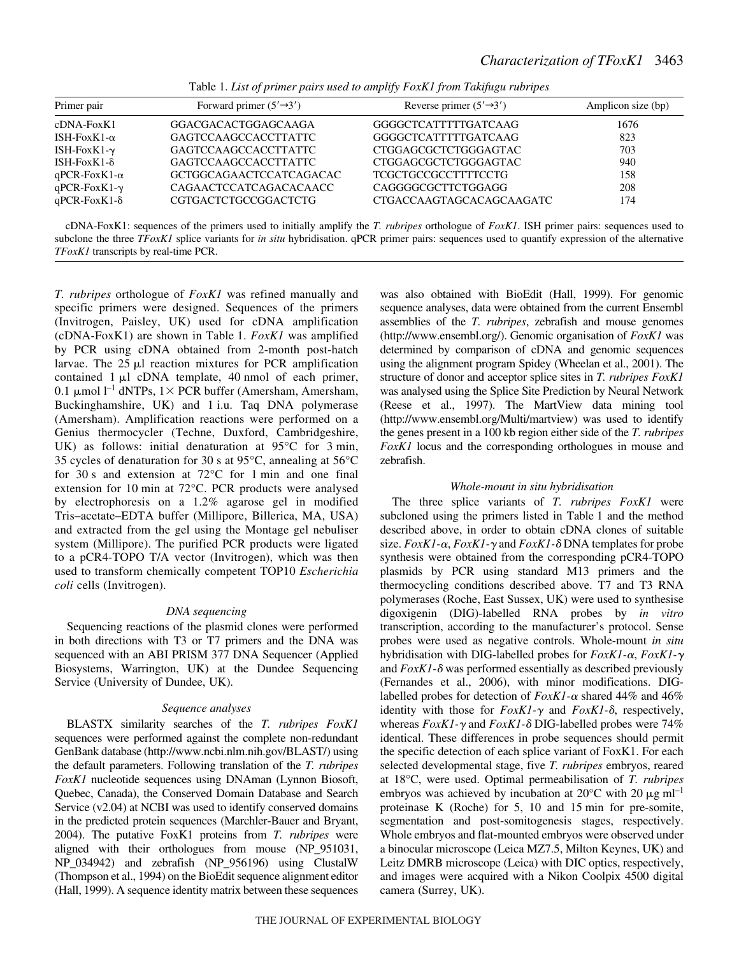| Primer pair          | Forward primer $(5' \rightarrow 3')$ | Reverse primer $(5' \rightarrow 3')$ | Amplicon size (bp) |
|----------------------|--------------------------------------|--------------------------------------|--------------------|
| $cDNA-FoxK1$         | GGACGACACTGGAGCAAGA                  | GGGGCTCATTTTTGATCAAG                 | 1676               |
| ISH-FoxK1- $\alpha$  | GAGTCCAAGCCACCTTATTC                 | GGGGCTCATTTTTGATCAAG                 | 823                |
| ISH-FoxK1- $\gamma$  | GAGTCCAAGCCACCTTATTC                 | CTGGAGCGCTCTGGGAGTAC                 | 703                |
| ISH-Fox K1- $\delta$ | GAGTCCAAGCCACCTTATTC                 | CTGGAGCGCTCTGGGAGTAC                 | 940                |
| $qPCR-FoxK1-\alpha$  | GCTGGCAGAACTCCATCAGACAC              | <b>TCGCTGCCGCCTTTTCCTG</b>           | 158                |
| $qPCR-FoxK1-\gamma$  | CAGAACTCCATCAGACACAACC               | CAGGGGCGCTTCTGGAGG                   | 208                |
| $qPCR-FoxK1-\delta$  | <b>CGTGACTCTGCCGGACTCTG</b>          | CTGACCAAGTAGCACAGCAAGATC             | 174                |

Table 1. List of primer pairs used to amplify FoxK1 from Takifugu rubripes

cDNA-FoxK1: sequences of the primers used to initially amplify the *T. rubripes* orthologue of *FoxK1*. ISH primer pairs: sequences used to subclone the three *TFoxK1* splice variants for *in situ* hybridisation. qPCR primer pairs: sequences used to quantify expression of the alternative *TFoxK1* transcripts by real-time PCR.

*T. rubripes* orthologue of *FoxK1* was refined manually and specific primers were designed. Sequences of the primers (Invitrogen, Paisley, UK) used for cDNA amplification (cDNA-FoxK1) are shown in Table·1. *FoxK1* was amplified by PCR using cDNA obtained from 2-month post-hatch larvae. The  $25 \mu l$  reaction mixtures for PCR amplification contained  $1 \mu l$  cDNA template,  $40 \text{ nmol}$  of each primer, 0.1  $\mu$ mol l<sup>-1</sup> dNTPs, 1× PCR buffer (Amersham, Amersham, Buckinghamshire, UK) and 1 i.u. Taq DNA polymerase (Amersham). Amplification reactions were performed on a Genius thermocycler (Techne, Duxford, Cambridgeshire, UK) as follows: initial denaturation at  $95^{\circ}$ C for 3 min, 35 cycles of denaturation for 30 s at  $95^{\circ}$ C, annealing at  $56^{\circ}$ C for 30 s and extension at  $72^{\circ}$ C for 1 min and one final extension for 10 min at 72 $^{\circ}$ C. PCR products were analysed by electrophoresis on a 1.2% agarose gel in modified Tris–acetate–EDTA buffer (Millipore, Billerica, MA, USA) and extracted from the gel using the Montage gel nebuliser system (Millipore). The purified PCR products were ligated to a pCR4-TOPO T/A vector (Invitrogen), which was then used to transform chemically competent TOP10 *Escherichia coli* cells (Invitrogen).

# *DNA sequencing*

Sequencing reactions of the plasmid clones were performed in both directions with T3 or T7 primers and the DNA was sequenced with an ABI PRISM 377 DNA Sequencer (Applied Biosystems, Warrington, UK) at the Dundee Sequencing Service (University of Dundee, UK).

# *Sequence analyses*

BLASTX similarity searches of the *T. rubripes FoxK1* sequences were performed against the complete non-redundant GenBank database (http://www.ncbi.nlm.nih.gov/BLAST/) using the default parameters. Following translation of the *T. rubripes FoxK1* nucleotide sequences using DNAman (Lynnon Biosoft, Quebec, Canada), the Conserved Domain Database and Search Service (v2.04) at NCBI was used to identify conserved domains in the predicted protein sequences (Marchler-Bauer and Bryant, 2004). The putative FoxK1 proteins from *T. rubripes* were aligned with their orthologues from mouse (NP\_951031, NP\_034942) and zebrafish (NP\_956196) using ClustalW (Thompson et al., 1994) on the BioEdit sequence alignment editor (Hall, 1999). A sequence identity matrix between these sequences was also obtained with BioEdit (Hall, 1999). For genomic sequence analyses, data were obtained from the current Ensembl assemblies of the *T. rubripes*, zebrafish and mouse genomes (http://www.ensembl.org/). Genomic organisation of *FoxK1* was determined by comparison of cDNA and genomic sequences using the alignment program Spidey (Wheelan et al., 2001). The structure of donor and acceptor splice sites in *T. rubripes FoxK1* was analysed using the Splice Site Prediction by Neural Network (Reese et al., 1997). The MartView data mining tool (http://www.ensembl.org/Multi/martview) was used to identify the genes present in a 100·kb region either side of the *T. rubripes FoxK1* locus and the corresponding orthologues in mouse and zebrafish.

# *Whole-mount in situ hybridisation*

The three splice variants of *T. rubripes FoxK1* were subcloned using the primers listed in Table 1 and the method described above, in order to obtain cDNA clones of suitable size. *FoxK1*-α, *FoxK1*-γ and *FoxK1*-δ DNA templates for probe synthesis were obtained from the corresponding pCR4-TOPO plasmids by PCR using standard M13 primers and the thermocycling conditions described above. T7 and T3 RNA polymerases (Roche, East Sussex, UK) were used to synthesise digoxigenin (DIG)-labelled RNA probes by *in vitro* transcription, according to the manufacturer's protocol. Sense probes were used as negative controls. Whole-mount *in situ* hybridisation with DIG-labelled probes for *FoxK1*-α, *FoxK1*-γ and  $FoxK1-\delta$  was performed essentially as described previously (Fernandes et al., 2006), with minor modifications. DIGlabelled probes for detection of *FoxK1*-α shared 44% and 46% identity with those for  $FoxK1-\gamma$  and  $FoxK1-\delta$ , respectively, whereas  $FoxK1-\gamma$  and  $FoxK1-\delta$  DIG-labelled probes were 74% identical. These differences in probe sequences should permit the specific detection of each splice variant of FoxK1. For each selected developmental stage, five *T. rubripes* embryos, reared at 18°C, were used. Optimal permeabilisation of *T. rubripes* embryos was achieved by incubation at 20 $^{\circ}$ C with 20  $\mu$ g ml<sup>-1</sup> proteinase K (Roche) for  $5$ ,  $10$  and  $15$  min for pre-somite, segmentation and post-somitogenesis stages, respectively. Whole embryos and flat-mounted embryos were observed under a binocular microscope (Leica MZ7.5, Milton Keynes, UK) and Leitz DMRB microscope (Leica) with DIC optics, respectively, and images were acquired with a Nikon Coolpix 4500 digital camera (Surrey, UK).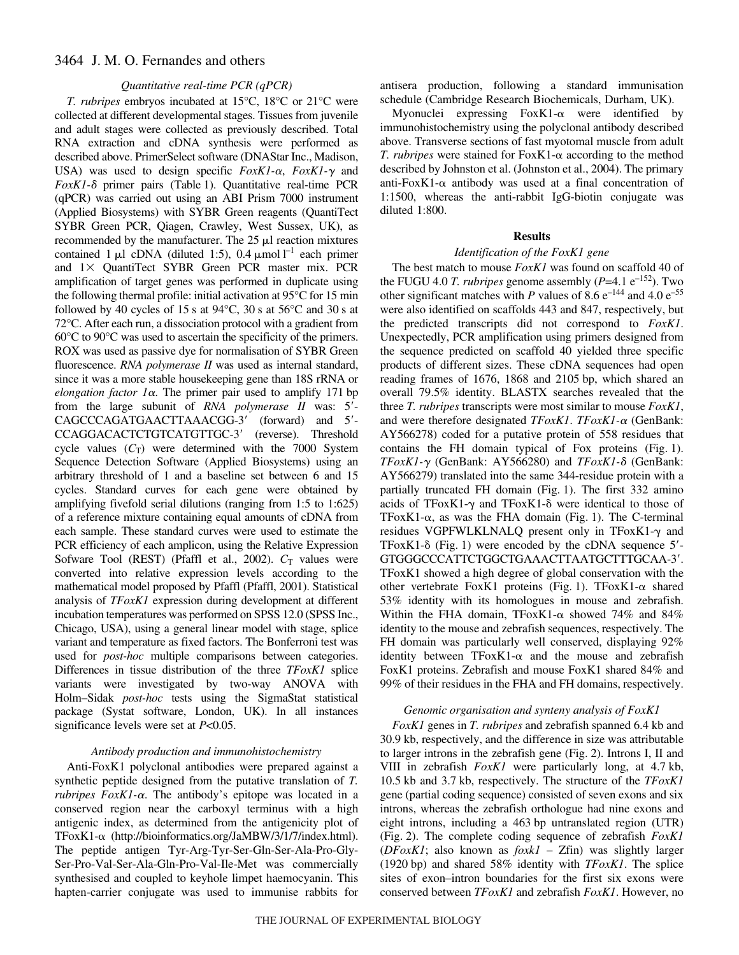### *Quantitative real-time PCR (qPCR)*

*T. rubripes* embryos incubated at 15°C, 18°C or 21°C were collected at different developmental stages. Tissues from juvenile and adult stages were collected as previously described. Total RNA extraction and cDNA synthesis were performed as described above. PrimerSelect software (DNAStar Inc., Madison, USA) was used to design specific  $FoxK1-\alpha$ ,  $FoxK1-\gamma$  and *FoxK1*-δ primer pairs (Table 1). Quantitative real-time PCR (qPCR) was carried out using an ABI Prism 7000 instrument (Applied Biosystems) with SYBR Green reagents (QuantiTect SYBR Green PCR, Qiagen, Crawley, West Sussex, UK), as recommended by the manufacturer. The  $25 \mu l$  reaction mixtures contained 1  $\mu$ l cDNA (diluted 1:5), 0.4  $\mu$ mol l<sup>-1</sup> each primer and  $1 \times$  QuantiTect SYBR Green PCR master mix. PCR amplification of target genes was performed in duplicate using the following thermal profile: initial activation at  $95^{\circ}$ C for 15 min followed by 40 cycles of 15 s at  $94^{\circ}$ C, 30 s at 56 $^{\circ}$ C and 30 s at 72°C. After each run, a dissociation protocol with a gradient from 60°C to 90°C was used to ascertain the specificity of the primers. ROX was used as passive dye for normalisation of SYBR Green fluorescence. *RNA polymerase II* was used as internal standard, since it was a more stable housekeeping gene than 18S rRNA or *elongation factor 1* $\alpha$ *.* The primer pair used to amplify 171 bp from the large subunit of *RNA polymerase II* was: 5'-CAGCCCAGATGAACTTAAACGG-3' (forward) and 5'-CCAGGACACTCTGTCATGTTGC-3' (reverse). Threshold cycle values  $(C_T)$  were determined with the 7000 System Sequence Detection Software (Applied Biosystems) using an arbitrary threshold of 1 and a baseline set between 6 and 15 cycles. Standard curves for each gene were obtained by amplifying fivefold serial dilutions (ranging from 1:5 to 1:625) of a reference mixture containing equal amounts of cDNA from each sample. These standard curves were used to estimate the PCR efficiency of each amplicon, using the Relative Expression Sofware Tool (REST) (Pfaffl et al., 2002).  $C_T$  values were converted into relative expression levels according to the mathematical model proposed by Pfaffl (Pfaffl, 2001). Statistical analysis of *TFoxK1* expression during development at different incubation temperatures was performed on SPSS 12.0 (SPSS Inc., Chicago, USA), using a general linear model with stage, splice variant and temperature as fixed factors. The Bonferroni test was used for *post-hoc* multiple comparisons between categories. Differences in tissue distribution of the three *TFoxK1* splice variants were investigated by two-way ANOVA with Holm–Sidak *post-hoc* tests using the SigmaStat statistical package (Systat software, London, UK). In all instances significance levels were set at *P*<0.05.

#### *Antibody production and immunohistochemistry*

Anti-FoxK1 polyclonal antibodies were prepared against a synthetic peptide designed from the putative translation of *T.*  $rubripes \, FoxK1-\alpha$ . The antibody's epitope was located in a conserved region near the carboxyl terminus with a high antigenic index, as determined from the antigenicity plot of TFoxK1-α (http://bioinformatics.org/JaMBW/3/1/7/index.html). The peptide antigen Tyr-Arg-Tyr-Ser-Gln-Ser-Ala-Pro-Gly-Ser-Pro-Val-Ser-Ala-Gln-Pro-Val-Ile-Met was commercially synthesised and coupled to keyhole limpet haemocyanin. This hapten-carrier conjugate was used to immunise rabbits for

antisera production, following a standard immunisation schedule (Cambridge Research Biochemicals, Durham, UK).

Myonuclei expressing  $FoxK1-\alpha$  were identified by immunohistochemistry using the polyclonal antibody described above. Transverse sections of fast myotomal muscle from adult T. *rubripes* were stained for  $FoxK1-\alpha$  according to the method described by Johnston et al. (Johnston et al., 2004). The primary anti-FoxK1- $\alpha$  antibody was used at a final concentration of 1:1500, whereas the anti-rabbit IgG-biotin conjugate was diluted 1:800.

#### **Results**

#### *Identification of the FoxK1 gene*

The best match to mouse *FoxK1* was found on scaffold 40 of the FUGU 4.0 *T. rubripes* genome assembly ( $P=4.1$   $e^{-152}$ ). Two other significant matches with *P* values of  $8.6e^{-144}$  and  $4.0e^{-55}$ were also identified on scaffolds 443 and 847, respectively, but the predicted transcripts did not correspond to *FoxK1*. Unexpectedly, PCR amplification using primers designed from the sequence predicted on scaffold 40 yielded three specific products of different sizes. These cDNA sequences had open reading frames of 1676, 1868 and 2105 bp, which shared an overall 79.5% identity. BLASTX searches revealed that the three *T. rubripes* transcripts were most similar to mouse *FoxK1*, and were therefore designated *TFoxK1*. *TFoxK1*- $\alpha$  (GenBank: AY566278) coded for a putative protein of 558 residues that contains the FH domain typical of Fox proteins  $(Fig. 1)$ . *TFoxK1-* (GenBank: AY566280) and *TFoxK1-* (GenBank: AY566279) translated into the same 344-residue protein with a partially truncated FH domain (Fig. 1). The first  $332$  amino acids of TFoxK1- $\gamma$  and TFoxK1- $\delta$  were identical to those of TFoxK1- $\alpha$ , as was the FHA domain (Fig. 1). The C-terminal residues VGPFWLKLNALQ present only in TFoxK1- $\gamma$  and TFoxK1- $\delta$  (Fig. 1) were encoded by the cDNA sequence 5'-GTGGGCCCATTCTGGCTGAAACTTAATGCTTTGCAA-3. TFoxK1 showed a high degree of global conservation with the other vertebrate FoxK1 proteins (Fig. 1). TFoxK1- $\alpha$  shared 53% identity with its homologues in mouse and zebrafish. Within the FHA domain, TFoxK1- $\alpha$  showed 74% and 84% identity to the mouse and zebrafish sequences, respectively. The FH domain was particularly well conserved, displaying 92% identity between  $TFoxK1-\alpha$  and the mouse and zebrafish FoxK1 proteins. Zebrafish and mouse FoxK1 shared 84% and 99% of their residues in the FHA and FH domains, respectively.

#### *Genomic organisation and synteny analysis of FoxK1*

*FoxK1* genes in *T. rubripes* and zebrafish spanned 6.4 kb and 30.9 kb, respectively, and the difference in size was attributable to larger introns in the zebrafish gene (Fig. 2). Introns I, II and VIII in zebrafish *FoxK1* were particularly long, at 4.7 kb, 10.5·kb and 3.7·kb, respectively. The structure of the *TFoxK1* gene (partial coding sequence) consisted of seven exons and six introns, whereas the zebrafish orthologue had nine exons and eight introns, including a 463 bp untranslated region (UTR) (Fig. 2). The complete coding sequence of zebrafish  $FoxK1$ (*DFoxK1*; also known as *foxk1* – Zfin) was slightly larger  $(1920\text{ bp})$  and shared 58% identity with *TFoxK1*. The splice sites of exon–intron boundaries for the first six exons were conserved between *TFoxK1* and zebrafish *FoxK1*. However, no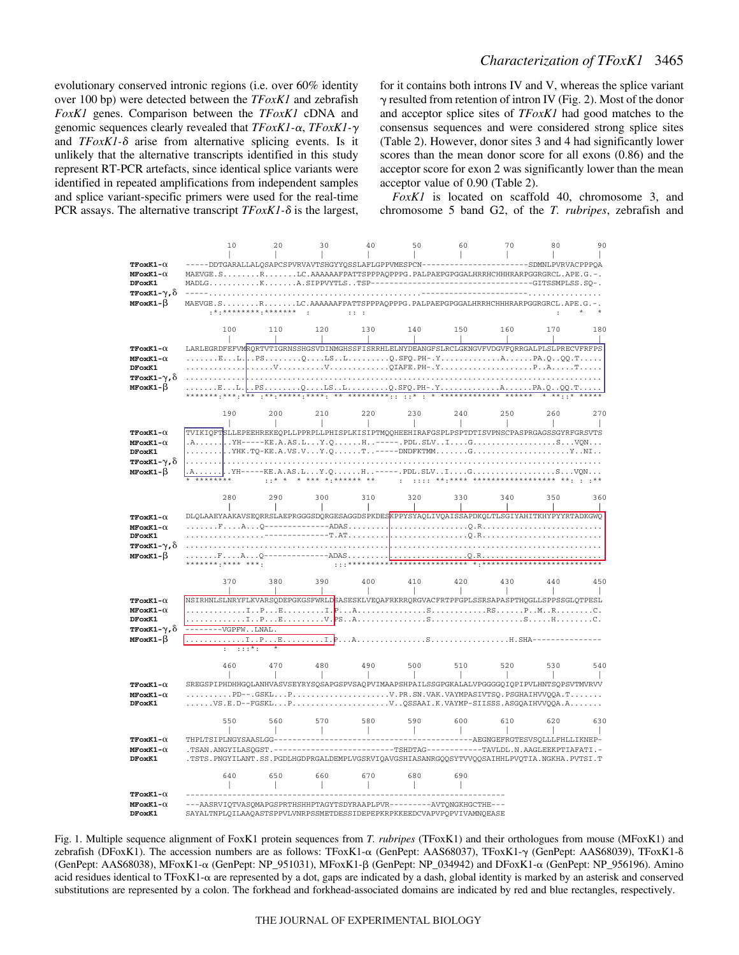evolutionary conserved intronic regions (i.e. over 60% identity over 100 bp) were detected between the *TFoxK1* and zebrafish *FoxK1* genes. Comparison between the *TFoxK1* cDNA and genomic sequences clearly revealed that *TFoxK1*-α, *TFoxK1*-γ and  $TFoxK1-\delta$  arise from alternative splicing events. Is it unlikely that the alternative transcripts identified in this study represent RT-PCR artefacts, since identical splice variants were identified in repeated amplifications from independent samples and splice variant-specific primers were used for the real-time PCR assays. The alternative transcript  $TFoxK1-\delta$  is the largest, for it contains both introns IV and V, whereas the splice variant  $\gamma$  resulted from retention of intron IV (Fig. 2). Most of the donor and acceptor splice sites of *TFoxK1* had good matches to the consensus sequences and were considered strong splice sites (Table 2). However, donor sites 3 and 4 had significantly lower scores than the mean donor score for all exons (0.86) and the acceptor score for exon 2 was significantly lower than the mean acceptor value of 0.90 (Table 2).

*FoxK1* is located on scaffold 40, chromosome 3, and chromosome 5 band G2, of the *T. rubripes*, zebrafish and



Fig. 1. Multiple sequence alignment of FoxK1 protein sequences from *T. rubripes* (TFoxK1) and their orthologues from mouse (MFoxK1) and zebrafish (DFoxK1). The accession numbers are as follows: TFoxK1-α (GenPept: AAS68037), TFoxK1-γ (GenPept: AAS68039), TFoxK1-δ (GenPept: AAS68038), MFoxK1-α (GenPept: NP\_951031), MFoxK1-β (GenPept: NP\_034942) and DFoxK1-α (GenPept: NP\_956196). Amino acid residues identical to TFoxK1- $\alpha$  are represented by a dot, gaps are indicated by a dash, global identity is marked by an asterisk and conserved substitutions are represented by a colon. The forkhead and forkhead-associated domains are indicated by red and blue rectangles, respectively.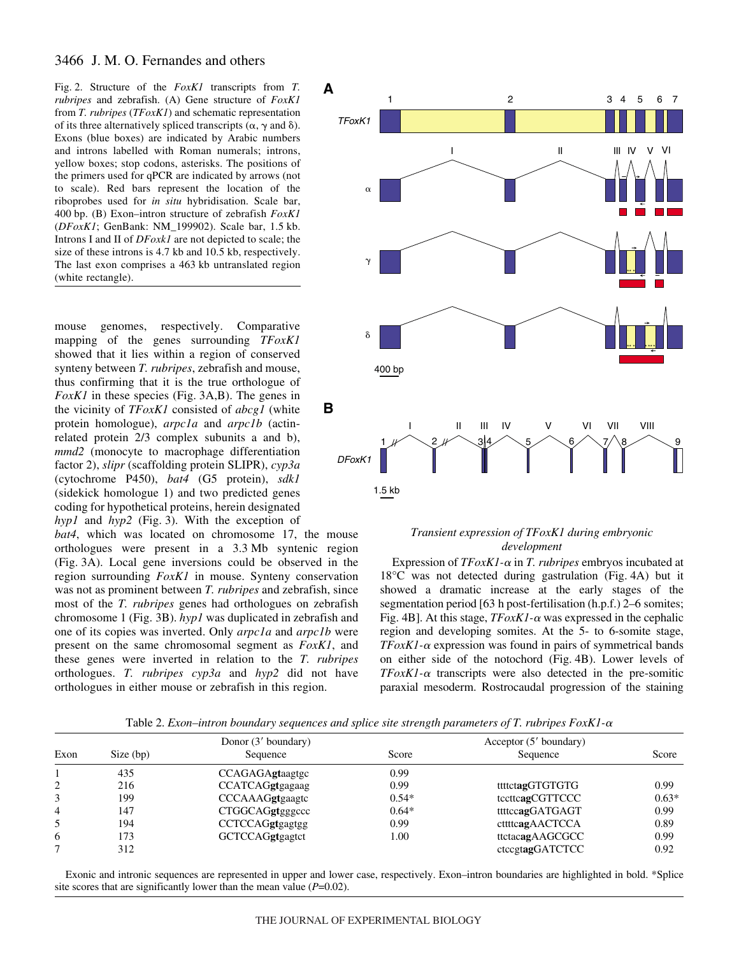Fig. 2. Structure of the *FoxK1* transcripts from *T*. *rubripes* and zebrafish. (A) Gene structure of *FoxK1* from *T. rubripes* (*TFoxK1*) and schematic representation of its three alternatively spliced transcripts ( $\alpha$ ,  $\gamma$  and  $\delta$ ). Exons (blue boxes) are indicated by Arabic numbers and introns labelled with Roman numerals; introns, yellow boxes; stop codons, asterisks. The positions of the primers used for qPCR are indicated by arrows (not to scale). Red bars represent the location of the riboprobes used for *in situ* hybridisation. Scale bar, 400 bp. (B) Exon–intron structure of zebrafish  $FoxK1$ (*DFoxK1*; GenBank: NM\_199902). Scale bar, 1.5·kb. Introns I and II of *DFoxk1* are not depicted to scale; the size of these introns is  $4.7~kb$  and  $10.5~kb$ , respectively. The last exon comprises a 463 kb untranslated region (white rectangle).

mouse genomes, respectively. Comparative mapping of the genes surrounding *TFoxK1* showed that it lies within a region of conserved synteny between *T. rubripes*, zebrafish and mouse, thus confirming that it is the true orthologue of  $FoxK1$  in these species (Fig. 3A,B). The genes in the vicinity of *TFoxK1* consisted of *abcg1* (white protein homologue), *arpc1a* and *arpc1b* (actinrelated protein 2/3 complex subunits a and b), *mmd2* (monocyte to macrophage differentiation factor 2), *slipr* (scaffolding protein SLIPR), *cyp3a* (cytochrome P450), *bat4* (G5 protein), *sdk1* (sidekick homologue 1) and two predicted genes coding for hypothetical proteins, herein designated  $hyp1$  and  $hyp2$  (Fig. 3). With the exception of

*bat4*, which was located on chromosome 17, the mouse orthologues were present in a 3.3·Mb syntenic region (Fig. 3A). Local gene inversions could be observed in the region surrounding *FoxK1* in mouse. Synteny conservation was not as prominent between *T. rubripes* and zebrafish, since most of the *T. rubripes* genes had orthologues on zebrafish chromosome 1 (Fig. 3B). *hyp1* was duplicated in zebrafish and one of its copies was inverted. Only *arpc1a* and *arpc1b* were present on the same chromosomal segment as *FoxK1*, and these genes were inverted in relation to the *T. rubripes* orthologues. *T. rubripes cyp3a* and *hyp2* did not have orthologues in either mouse or zebrafish in this region.



### *Transient expression of TFoxK1 during embryonic development*

Expression of *TFoxK1*- $\alpha$  in *T. rubripes* embryos incubated at  $18^{\circ}$ C was not detected during gastrulation (Fig. 4A) but it showed a dramatic increase at the early stages of the segmentation period [63 h post-fertilisation (h.p.f.) 2–6 somites; Fig. 4B]. At this stage,  $TFoxK1$ - $\alpha$  was expressed in the cephalic region and developing somites. At the 5- to 6-somite stage,  $TFoxK1$ - $\alpha$  expression was found in pairs of symmetrical bands on either side of the notochord (Fig. 4B). Lower levels of  $TFoxK1$ - $\alpha$  transcripts were also detected in the pre-somitic paraxial mesoderm. Rostrocaudal progression of the staining

Table 2. *Exon–intron boundary sequences and splice site strength parameters of T. rubripes FoxK1-* $\alpha$ 

|      | Donor (3' boundary) |                        | Acceptor (5' boundary) |                 |         |
|------|---------------------|------------------------|------------------------|-----------------|---------|
| Exon | Size (bp)           | Sequence               | Score                  | Sequence        | Score   |
|      | 435                 | <b>CCAGAGAgtaagtgc</b> | 0.99                   |                 |         |
| 2    | 216                 | CCATCAGgtgagaag        | 0.99                   | ttttctagGTGTGTG | 0.99    |
| 3    | 199                 | CCCAAAGgtgaagtc        | $0.54*$                | tecttcagCGTTCCC | $0.63*$ |
| 4    | 147                 | CTGGCAGgtgggccc        | $0.64*$                | ttttccagGATGAGT | 0.99    |
| 5    | 194                 | <b>CCTCCAGgtgagtgg</b> | 0.99                   | cttttcagAACTCCA | 0.89    |
| 6    | 173                 | <b>GCTCCAGgtgagtct</b> | 1.00                   | ttctacagAAGCGCC | 0.99    |
|      | 312                 |                        |                        | ctccgtagGATCTCC | 0.92    |

Exonic and intronic sequences are represented in upper and lower case, respectively. Exon–intron boundaries are highlighted in bold. \*Splice site scores that are significantly lower than the mean value (*P*=0.02).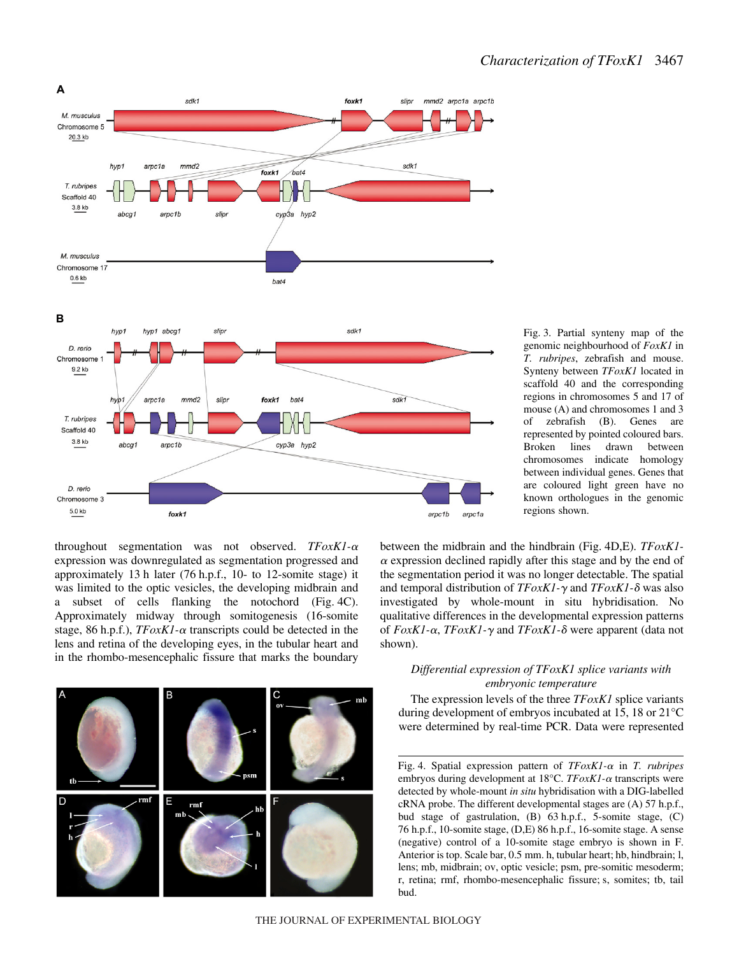

Fig. 3. Partial synteny map of the genomic neighbourhood of *FoxK1* in *T. rubripes*, zebrafish and mouse. Synteny between *TFoxK1* located in scaffold 40 and the corresponding regions in chromosomes 5 and 17 of mouse (A) and chromosomes 1 and 3 of zebrafish (B). Genes are represented by pointed coloured bars. Broken lines drawn between chromosomes indicate homology between individual genes. Genes that are coloured light green have no known orthologues in the genomic regions shown.

throughout segmentation was not observed.  $TFoxK1-\alpha$ expression was downregulated as segmentation progressed and approximately 13 h later (76 h.p.f., 10- to 12-somite stage) it was limited to the optic vesicles, the developing midbrain and a subset of cells flanking the notochord (Fig. 4C). Approximately midway through somitogenesis (16-somite stage, 86 h.p.f.),  $TFoxK1-\alpha$  transcripts could be detected in the lens and retina of the developing eyes, in the tubular heart and in the rhombo-mesencephalic fissure that marks the boundary



between the midbrain and the hindbrain (Fig. 4D,E). *TFoxK1*- $\alpha$  expression declined rapidly after this stage and by the end of the segmentation period it was no longer detectable. The spatial and temporal distribution of  $TF \alpha x K1 - \gamma$  and  $TF \alpha x K1 - \delta$  was also investigated by whole-mount in situ hybridisation. No qualitative differences in the developmental expression patterns of *FoxK1*-α, *TFoxK1*-γ and *TFoxK1*-δ were apparent (data not shown).

## *Differential expression of TFoxK1 splice variants with embryonic temperature*

The expression levels of the three *TFoxK1* splice variants during development of embryos incubated at 15, 18 or 21°C were determined by real-time PCR. Data were represented

Fig. 4. Spatial expression pattern of *TFoxK1-α* in *T. rubripes* embryos during development at 18°C. *TFoxK1-* $\alpha$  transcripts were detected by whole-mount *in situ* hybridisation with a DIG-labelled cRNA probe. The different developmental stages are  $(A)$  57 h.p.f., bud stage of gastrulation, (B) 63 h.p.f., 5-somite stage, (C) 76 h.p.f., 10-somite stage, (D,E) 86 h.p.f., 16-somite stage. A sense (negative) control of a 10-somite stage embryo is shown in F. Anterior is top. Scale bar, 0.5 mm. h, tubular heart; hb, hindbrain; l, lens; mb, midbrain; ov, optic vesicle; psm, pre-somitic mesoderm; r, retina; rmf, rhombo-mesencephalic fissure; s, somites; tb, tail bud.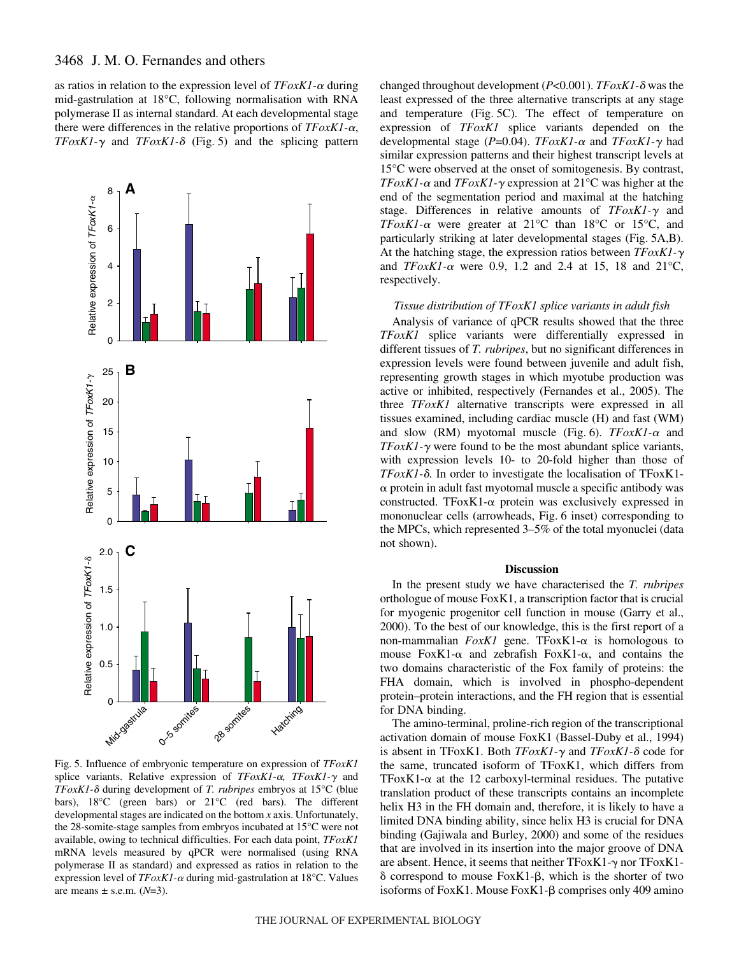as ratios in relation to the expression level of  $TFoxK1-\alpha$  during mid-gastrulation at 18°C, following normalisation with RNA polymerase II as internal standard. At each developmental stage there were differences in the relative proportions of  $TFoxK1-\alpha$ , *TFoxK1-* $\gamma$  and *TFoxK1-* $\delta$  (Fig. 5) and the splicing pattern



Fig. 5. Influence of embryonic temperature on expression of *TFoxK1* splice variants. Relative expression of *TFoxK1-a*, *TFoxK1-* $\gamma$  and *TFoxK1-* during development of *T. rubripes* embryos at 15°C (blue bars), 18°C (green bars) or 21°C (red bars). The different developmental stages are indicated on the bottom *x* axis. Unfortunately, the 28-somite-stage samples from embryos incubated at 15°C were not available, owing to technical difficulties. For each data point, *TFoxK1* mRNA levels measured by qPCR were normalised (using RNA polymerase II as standard) and expressed as ratios in relation to the expression level of  $TFoxK1$ - $\alpha$  during mid-gastrulation at 18°C. Values are means  $\pm$  s.e.m. ( $N=3$ ).

changed throughout development (*P*<0.001). *TFoxK1-* was the least expressed of the three alternative transcripts at any stage and temperature (Fig. 5C). The effect of temperature on expression of *TFoxK1* splice variants depended on the developmental stage (*P*=0.04). *TFoxK1-*- and *TFoxK1-* had similar expression patterns and their highest transcript levels at 15°C were observed at the onset of somitogenesis. By contrast, *TFoxK1*- $\alpha$  and *TFoxK1*- $\gamma$  expression at 21<sup>°</sup>C was higher at the end of the segmentation period and maximal at the hatching stage. Differences in relative amounts of *TFoxK1*- $\gamma$  and *TFoxK1-* $\alpha$  were greater at 21 $^{\circ}$ C than 18 $^{\circ}$ C or 15 $^{\circ}$ C, and particularly striking at later developmental stages (Fig. 5A,B). At the hatching stage, the expression ratios between *TFoxK1* and *TFoxK1*- $\alpha$  were 0.9, 1.2 and 2.4 at 15, 18 and 21 $^{\circ}$ C, respectively.

### *Tissue distribution of TFoxK1 splice variants in adult fish*

Analysis of variance of qPCR results showed that the three *TFoxK1* splice variants were differentially expressed in different tissues of *T. rubripes*, but no significant differences in expression levels were found between juvenile and adult fish, representing growth stages in which myotube production was active or inhibited, respectively (Fernandes et al., 2005). The three *TFoxK1* alternative transcripts were expressed in all tissues examined, including cardiac muscle (H) and fast (WM) and slow (RM) myotomal muscle (Fig. 6).  $TFoxK1-\alpha$  and  $TFoxK1-\gamma$  were found to be the most abundant splice variants, with expression levels 10- to 20-fold higher than those of *TFoxK1*-δ. In order to investigate the localisation of TFoxK1- $\alpha$  protein in adult fast myotomal muscle a specific antibody was constructed. TFoxK1- $\alpha$  protein was exclusively expressed in mononuclear cells (arrowheads, Fig. 6 inset) corresponding to the MPCs, which represented 3–5% of the total myonuclei (data not shown).

#### **Discussion**

In the present study we have characterised the *T. rubripes* orthologue of mouse FoxK1, a transcription factor that is crucial for myogenic progenitor cell function in mouse (Garry et al., 2000). To the best of our knowledge, this is the first report of a non-mammalian  $FoxK1$  gene. TFoxK1- $\alpha$  is homologous to mouse FoxK1- $\alpha$  and zebrafish FoxK1- $\alpha$ , and contains the two domains characteristic of the Fox family of proteins: the FHA domain, which is involved in phospho-dependent protein–protein interactions, and the FH region that is essential for DNA binding.

The amino-terminal, proline-rich region of the transcriptional activation domain of mouse FoxK1 (Bassel-Duby et al., 1994) is absent in TFoxK1. Both *TFoxK1-* and *TFoxK1-* code for the same, truncated isoform of TFoxK1, which differs from TFoxK1- $\alpha$  at the 12 carboxyl-terminal residues. The putative translation product of these transcripts contains an incomplete helix H3 in the FH domain and, therefore, it is likely to have a limited DNA binding ability, since helix H3 is crucial for DNA binding (Gajiwala and Burley, 2000) and some of the residues that are involved in its insertion into the major groove of DNA are absent. Hence, it seems that neither  $TFoxK1-\gamma$  nor  $TFoxK1-\gamma$  $\delta$  correspond to mouse FoxK1- $\beta$ , which is the shorter of two isoforms of FoxK1. Mouse FoxK1- $\beta$  comprises only 409 amino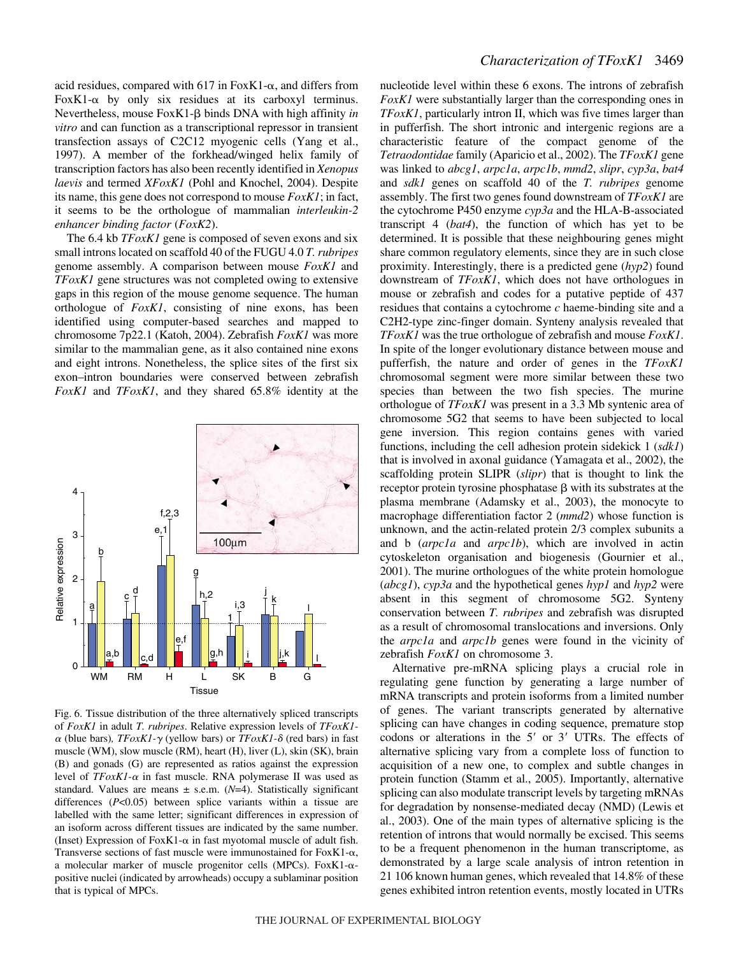acid residues, compared with 617 in FoxK1- $\alpha$ , and differs from FoxK1- $\alpha$  by only six residues at its carboxyl terminus. Nevertheless, mouse FoxK1-β binds DNA with high affinity *in vitro* and can function as a transcriptional repressor in transient transfection assays of C2C12 myogenic cells (Yang et al., 1997). A member of the forkhead/winged helix family of transcription factors has also been recently identified in *Xenopus laevis* and termed *XFoxK1* (Pohl and Knochel, 2004). Despite its name, this gene does not correspond to mouse *FoxK1*; in fact, it seems to be the orthologue of mammalian *interleukin-2 enhancer binding factor* (*FoxK2*).

The 6.4 kb *TFoxK1* gene is composed of seven exons and six small introns located on scaffold 40 of the FUGU 4.0 *T. rubripes* genome assembly. A comparison between mouse *FoxK1* and *TFoxK1* gene structures was not completed owing to extensive gaps in this region of the mouse genome sequence. The human orthologue of *FoxK1*, consisting of nine exons, has been identified using computer-based searches and mapped to chromosome 7p22.1 (Katoh, 2004). Zebrafish *FoxK1* was more similar to the mammalian gene, as it also contained nine exons and eight introns. Nonetheless, the splice sites of the first six exon–intron boundaries were conserved between zebrafish *FoxK1* and *TFoxK1*, and they shared 65.8% identity at the



Fig. 6. Tissue distribution of the three alternatively spliced transcripts of *FoxK1* in adult *T. rubripes*. Relative expression levels of *TFoxK1-*  $\alpha$  (blue bars),  $TF \alpha x K1 - \gamma$  (yellow bars) or  $TF \alpha x K1 - \delta$  (red bars) in fast muscle (WM), slow muscle (RM), heart (H), liver (L), skin (SK), brain (B) and gonads (G) are represented as ratios against the expression level of  $TFoxK1-\alpha$  in fast muscle. RNA polymerase II was used as standard. Values are means  $\pm$  s.e.m. ( $N=4$ ). Statistically significant differences (*P*<0.05) between splice variants within a tissue are labelled with the same letter; significant differences in expression of an isoform across different tissues are indicated by the same number. (Inset) Expression of FoxK1- $\alpha$  in fast myotomal muscle of adult fish. Transverse sections of fast muscle were immunostained for FoxK1- $\alpha$ , a molecular marker of muscle progenitor cells (MPCs). FoxK1- $\alpha$ positive nuclei (indicated by arrowheads) occupy a sublaminar position that is typical of MPCs.

nucleotide level within these 6 exons. The introns of zebrafish *FoxK1* were substantially larger than the corresponding ones in *TFoxK1*, particularly intron II, which was five times larger than in pufferfish. The short intronic and intergenic regions are a characteristic feature of the compact genome of the *Tetraodontidae* family (Aparicio et al., 2002). The *TFoxK1* gene was linked to *abcg1*, *arpc1a*, *arpc1b*, *mmd2*, *slipr*, *cyp3a*, *bat4* and *sdk1* genes on scaffold 40 of the *T. rubripes* genome assembly. The first two genes found downstream of *TFoxK1* are the cytochrome P450 enzyme *cyp3a* and the HLA-B-associated transcript 4 (*bat4*), the function of which has yet to be determined. It is possible that these neighbouring genes might share common regulatory elements, since they are in such close proximity. Interestingly, there is a predicted gene (*hyp2*) found downstream of *TFoxK1*, which does not have orthologues in mouse or zebrafish and codes for a putative peptide of 437 residues that contains a cytochrome *c* haeme-binding site and a C2H2-type zinc-finger domain. Synteny analysis revealed that *TFoxK1* was the true orthologue of zebrafish and mouse *FoxK1*. In spite of the longer evolutionary distance between mouse and pufferfish, the nature and order of genes in the *TFoxK1* chromosomal segment were more similar between these two species than between the two fish species. The murine orthologue of *TFoxK1* was present in a 3.3 Mb syntenic area of chromosome 5G2 that seems to have been subjected to local gene inversion. This region contains genes with varied functions, including the cell adhesion protein sidekick 1 (*sdk1*) that is involved in axonal guidance (Yamagata et al., 2002), the scaffolding protein SLIPR (*slipr*) that is thought to link the receptor protein tyrosine phosphatase  $\beta$  with its substrates at the plasma membrane (Adamsky et al., 2003), the monocyte to macrophage differentiation factor 2 (*mmd2*) whose function is unknown, and the actin-related protein 2/3 complex subunits a and b (*arpc1a* and *arpc1b*), which are involved in actin cytoskeleton organisation and biogenesis (Gournier et al., 2001). The murine orthologues of the white protein homologue (*abcg1*), *cyp3a* and the hypothetical genes *hyp1* and *hyp2* were absent in this segment of chromosome 5G2. Synteny conservation between *T. rubripes* and zebrafish was disrupted as a result of chromosomal translocations and inversions. Only the *arpc1a* and *arpc1b* genes were found in the vicinity of zebrafish *FoxK1* on chromosome 3.

Alternative pre-mRNA splicing plays a crucial role in regulating gene function by generating a large number of mRNA transcripts and protein isoforms from a limited number of genes. The variant transcripts generated by alternative splicing can have changes in coding sequence, premature stop codons or alterations in the  $5'$  or  $3'$  UTRs. The effects of alternative splicing vary from a complete loss of function to acquisition of a new one, to complex and subtle changes in protein function (Stamm et al., 2005). Importantly, alternative splicing can also modulate transcript levels by targeting mRNAs for degradation by nonsense-mediated decay (NMD) (Lewis et al., 2003). One of the main types of alternative splicing is the retention of introns that would normally be excised. This seems to be a frequent phenomenon in the human transcriptome, as demonstrated by a large scale analysis of intron retention in 21 106 known human genes, which revealed that 14.8% of these genes exhibited intron retention events, mostly located in UTRs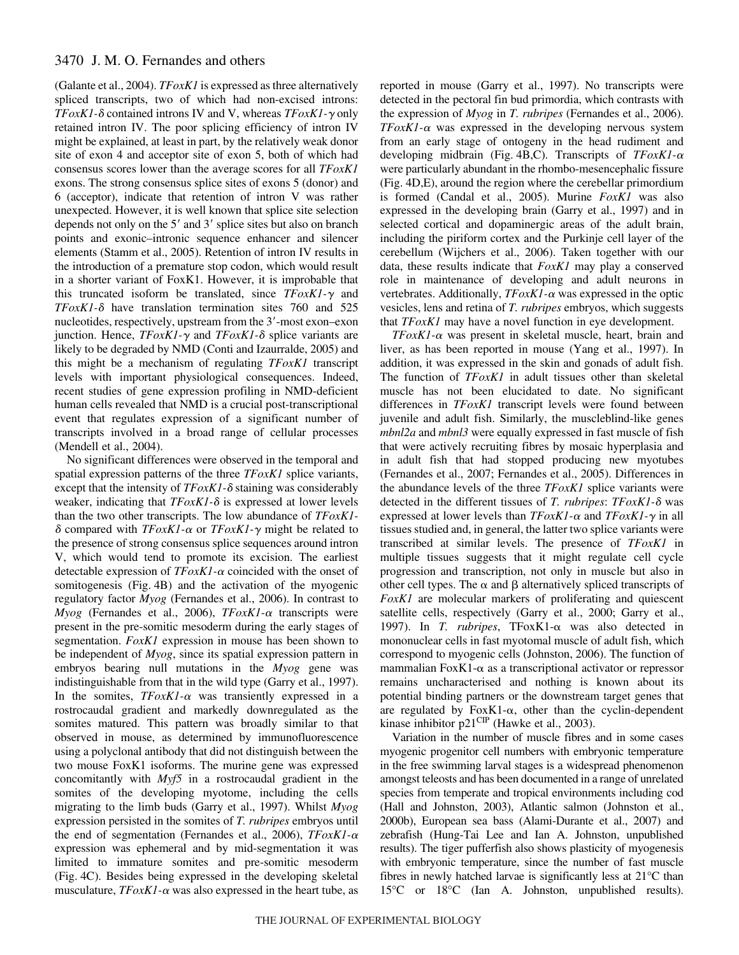(Galante et al., 2004). *TFoxK1* is expressed as three alternatively spliced transcripts, two of which had non-excised introns: *TFoxK1*-δ contained introns IV and V, whereas *TFoxK1*-γ only retained intron IV. The poor splicing efficiency of intron IV might be explained, at least in part, by the relatively weak donor site of exon 4 and acceptor site of exon 5, both of which had consensus scores lower than the average scores for all *TFoxK1* exons. The strong consensus splice sites of exons 5 (donor) and 6 (acceptor), indicate that retention of intron V was rather unexpected. However, it is well known that splice site selection depends not only on the  $5'$  and  $3'$  splice sites but also on branch points and exonic–intronic sequence enhancer and silencer elements (Stamm et al., 2005). Retention of intron IV results in the introduction of a premature stop codon, which would result in a shorter variant of FoxK1. However, it is improbable that this truncated isoform be translated, since  $TFo x K1 - \gamma$  and *TFoxK1-* $\delta$  have translation termination sites 760 and 525 nucleotides, respectively, upstream from the 3'-most exon–exon junction. Hence,  $TFoxK1-\gamma$  and  $TFoxK1-\delta$  splice variants are likely to be degraded by NMD (Conti and Izaurralde, 2005) and this might be a mechanism of regulating *TFoxK1* transcript levels with important physiological consequences. Indeed, recent studies of gene expression profiling in NMD-deficient human cells revealed that NMD is a crucial post-transcriptional event that regulates expression of a significant number of transcripts involved in a broad range of cellular processes (Mendell et al., 2004).

No significant differences were observed in the temporal and spatial expression patterns of the three *TFoxK1* splice variants, except that the intensity of  $TFoxK1-\delta$  staining was considerably weaker, indicating that  $TFoxK1-\delta$  is expressed at lower levels than the two other transcripts. The low abundance of *TFoxK1-*  $\delta$  compared with *TFoxK1*-α or *TFoxK1*-γ might be related to the presence of strong consensus splice sequences around intron V, which would tend to promote its excision. The earliest detectable expression of  $TFoxK1-\alpha$  coincided with the onset of somitogenesis (Fig. 4B) and the activation of the myogenic regulatory factor *Myog* (Fernandes et al., 2006). In contrast to *Myog* (Fernandes et al., 2006), *TFoxK1*-α transcripts were present in the pre-somitic mesoderm during the early stages of segmentation. *FoxK1* expression in mouse has been shown to be independent of *Myog*, since its spatial expression pattern in embryos bearing null mutations in the *Myog* gene was indistinguishable from that in the wild type (Garry et al., 1997). In the somites,  $TFoxK1$ - $\alpha$  was transiently expressed in a rostrocaudal gradient and markedly downregulated as the somites matured. This pattern was broadly similar to that observed in mouse, as determined by immunofluorescence using a polyclonal antibody that did not distinguish between the two mouse FoxK1 isoforms. The murine gene was expressed concomitantly with *Myf5* in a rostrocaudal gradient in the somites of the developing myotome, including the cells migrating to the limb buds (Garry et al., 1997). Whilst *Myog* expression persisted in the somites of *T. rubripes* embryos until the end of segmentation (Fernandes et al., 2006), *TFoxK1*-α expression was ephemeral and by mid-segmentation it was limited to immature somites and pre-somitic mesoderm (Fig. 4C). Besides being expressed in the developing skeletal musculature,  $TFoxK1$ - $\alpha$  was also expressed in the heart tube, as

reported in mouse (Garry et al., 1997). No transcripts were detected in the pectoral fin bud primordia, which contrasts with the expression of *Myog* in *T. rubripes* (Fernandes et al., 2006).  $TFoxK1$ - $\alpha$  was expressed in the developing nervous system from an early stage of ontogeny in the head rudiment and developing midbrain (Fig. 4B,C). Transcripts of *TFoxK1-* $\alpha$ were particularly abundant in the rhombo-mesencephalic fissure (Fig. 4D, E), around the region where the cerebellar primordium is formed (Candal et al., 2005). Murine *FoxK1* was also expressed in the developing brain (Garry et al., 1997) and in selected cortical and dopaminergic areas of the adult brain, including the piriform cortex and the Purkinje cell layer of the cerebellum (Wijchers et al., 2006). Taken together with our data, these results indicate that *FoxK1* may play a conserved role in maintenance of developing and adult neurons in vertebrates. Additionally,  $TFoxK1$ - $\alpha$  was expressed in the optic vesicles, lens and retina of *T. rubripes* embryos, which suggests that *TFoxK1* may have a novel function in eye development.

 $TFoxK1$ - $\alpha$  was present in skeletal muscle, heart, brain and liver, as has been reported in mouse (Yang et al., 1997). In addition, it was expressed in the skin and gonads of adult fish. The function of *TFoxK1* in adult tissues other than skeletal muscle has not been elucidated to date. No significant differences in *TFoxK1* transcript levels were found between juvenile and adult fish. Similarly, the muscleblind-like genes *mbnl2a* and *mbnl3* were equally expressed in fast muscle of fish that were actively recruiting fibres by mosaic hyperplasia and in adult fish that had stopped producing new myotubes (Fernandes et al., 2007; Fernandes et al., 2005). Differences in the abundance levels of the three *TFoxK1* splice variants were detected in the different tissues of *T. rubripes*: *TFoxK1-* was expressed at lower levels than  $TFoxK1-\alpha$  and  $TFoxK1-\gamma$  in all tissues studied and, in general, the latter two splice variants were transcribed at similar levels. The presence of *TFoxK1* in multiple tissues suggests that it might regulate cell cycle progression and transcription, not only in muscle but also in other cell types. The  $\alpha$  and  $\beta$  alternatively spliced transcripts of *FoxK1* are molecular markers of proliferating and quiescent satellite cells, respectively (Garry et al., 2000; Garry et al., 1997). In  $T.$  *rubripes*,  $TFoxK1-\alpha$  was also detected in mononuclear cells in fast myotomal muscle of adult fish, which correspond to myogenic cells (Johnston, 2006). The function of mammalian  $FoxK1-\alpha$  as a transcriptional activator or repressor remains uncharacterised and nothing is known about its potential binding partners or the downstream target genes that are regulated by Fox $K1-\alpha$ , other than the cyclin-dependent kinase inhibitor  $p21^{\text{CIP}}$  (Hawke et al., 2003).

Variation in the number of muscle fibres and in some cases myogenic progenitor cell numbers with embryonic temperature in the free swimming larval stages is a widespread phenomenon amongst teleosts and has been documented in a range of unrelated species from temperate and tropical environments including cod (Hall and Johnston, 2003), Atlantic salmon (Johnston et al., 2000b), European sea bass (Alami-Durante et al., 2007) and zebrafish (Hung-Tai Lee and Ian A. Johnston, unpublished results). The tiger pufferfish also shows plasticity of myogenesis with embryonic temperature, since the number of fast muscle fibres in newly hatched larvae is significantly less at 21°C than 15°C or 18°C (Ian A. Johnston, unpublished results).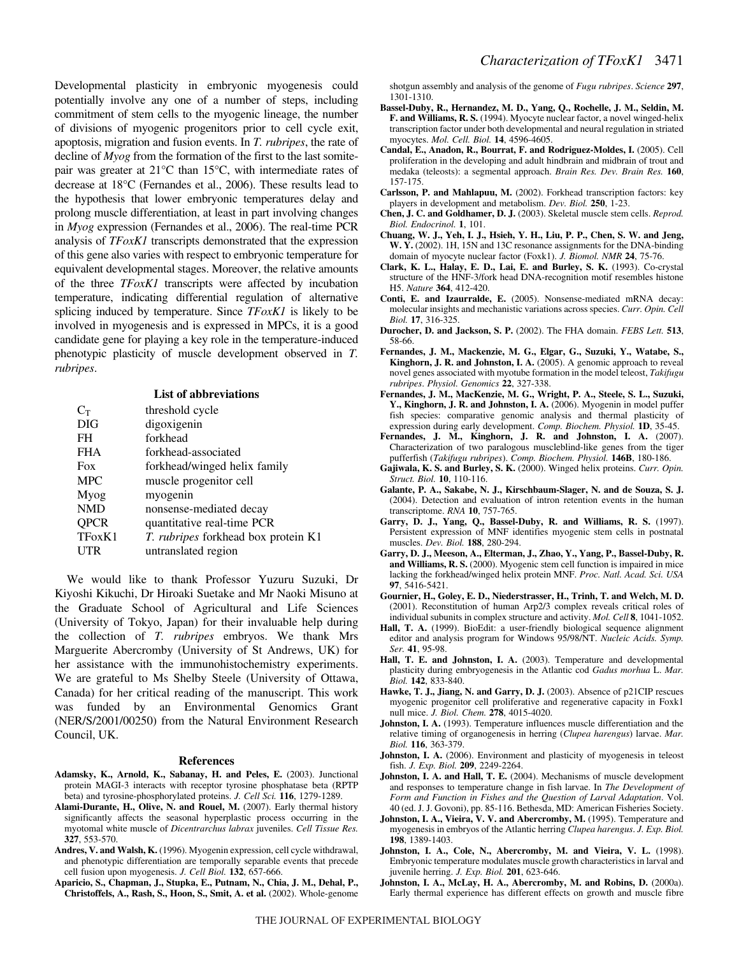Developmental plasticity in embryonic myogenesis could potentially involve any one of a number of steps, including commitment of stem cells to the myogenic lineage, the number of divisions of myogenic progenitors prior to cell cycle exit, apoptosis, migration and fusion events. In *T. rubripes*, the rate of decline of *Myog* from the formation of the first to the last somitepair was greater at 21°C than 15°C, with intermediate rates of decrease at 18°C (Fernandes et al., 2006). These results lead to the hypothesis that lower embryonic temperatures delay and prolong muscle differentiation, at least in part involving changes in *Myog* expression (Fernandes et al., 2006). The real-time PCR analysis of *TFoxK1* transcripts demonstrated that the expression of this gene also varies with respect to embryonic temperature for equivalent developmental stages. Moreover, the relative amounts of the three *TFoxK1* transcripts were affected by incubation temperature, indicating differential regulation of alternative splicing induced by temperature. Since *TFoxK1* is likely to be involved in myogenesis and is expressed in MPCs, it is a good candidate gene for playing a key role in the temperature-induced phenotypic plasticity of muscle development observed in *T. rubripes*.

| <b>List of abbreviations</b> |                                            |  |  |  |
|------------------------------|--------------------------------------------|--|--|--|
| $C_T$                        | threshold cycle                            |  |  |  |
| <b>DIG</b>                   | digoxigenin                                |  |  |  |
| FH                           | forkhead                                   |  |  |  |
| <b>FHA</b>                   | forkhead-associated                        |  |  |  |
| Fox                          | forkhead/winged helix family               |  |  |  |
| <b>MPC</b>                   | muscle progenitor cell                     |  |  |  |
| Myog                         | myogenin                                   |  |  |  |
| <b>NMD</b>                   | nonsense-mediated decay                    |  |  |  |
| QPCR                         | quantitative real-time PCR                 |  |  |  |
| TFox <sub>K1</sub>           | <i>T. rubripes</i> forkhead box protein K1 |  |  |  |
| UTR                          | untranslated region                        |  |  |  |

We would like to thank Professor Yuzuru Suzuki, Dr Kiyoshi Kikuchi, Dr Hiroaki Suetake and Mr Naoki Misuno at the Graduate School of Agricultural and Life Sciences (University of Tokyo, Japan) for their invaluable help during the collection of *T. rubripes* embryos. We thank Mrs Marguerite Abercromby (University of St Andrews, UK) for her assistance with the immunohistochemistry experiments. We are grateful to Ms Shelby Steele (University of Ottawa, Canada) for her critical reading of the manuscript. This work was funded by an Environmental Genomics Grant (NER/S/2001/00250) from the Natural Environment Research Council, UK.

#### **References**

- **Adamsky, K., Arnold, K., Sabanay, H. and Peles, E.** (2003). Junctional protein MAGI-3 interacts with receptor tyrosine phosphatase beta (RPTP beta) and tyrosine-phosphorylated proteins. *J. Cell Sci.* **116**, 1279-1289.
- **Alami-Durante, H., Olive, N. and Rouel, M.** (2007). Early thermal history significantly affects the seasonal hyperplastic process occurring in the myotomal white muscle of *Dicentrarchus labrax* juveniles. *Cell Tissue Res.* **327**, 553-570.
- **Andres, V. and Walsh, K.** (1996). Myogenin expression, cell cycle withdrawal, and phenotypic differentiation are temporally separable events that precede cell fusion upon myogenesis. *J. Cell Biol.* **132**, 657-666.
- **Aparicio, S., Chapman, J., Stupka, E., Putnam, N., Chia, J. M., Dehal, P., Christoffels, A., Rash, S., Hoon, S., Smit, A. et al.** (2002). Whole-genome

shotgun assembly and analysis of the genome of *Fugu rubripes*. *Science* **297**, 1301-1310.

- **Bassel-Duby, R., Hernandez, M. D., Yang, Q., Rochelle, J. M., Seldin, M. F. and Williams, R. S.** (1994). Myocyte nuclear factor, a novel winged-helix transcription factor under both developmental and neural regulation in striated myocytes. *Mol. Cell. Biol.* **14**, 4596-4605.
- **Candal, E., Anadon, R., Bourrat, F. and Rodriguez-Moldes, I.** (2005). Cell proliferation in the developing and adult hindbrain and midbrain of trout and medaka (teleosts): a segmental approach. *Brain Res. Dev. Brain Res.* **160**, 157-175.
- **Carlsson, P. and Mahlapuu, M.** (2002). Forkhead transcription factors: key players in development and metabolism. *Dev. Biol.* **250**, 1-23.
- **Chen, J. C. and Goldhamer, D. J.** (2003). Skeletal muscle stem cells. *Reprod. Biol. Endocrinol.* **1**, 101.
- **Chuang, W. J., Yeh, I. J., Hsieh, Y. H., Liu, P. P., Chen, S. W. and Jeng, W. Y.** (2002). 1H, 15N and 13C resonance assignments for the DNA-binding domain of myocyte nuclear factor (Foxk1). *J. Biomol. NMR* **24**, 75-76.
- **Clark, K. L., Halay, E. D., Lai, E. and Burley, S. K.** (1993). Co-crystal structure of the HNF-3/fork head DNA-recognition motif resembles histone H5. *Nature* **364**, 412-420.
- **Conti, E. and Izaurralde, E.** (2005). Nonsense-mediated mRNA decay: molecular insights and mechanistic variations across species. *Curr. Opin. Cell Biol.* **17**, 316-325.
- **Durocher, D. and Jackson, S. P.** (2002). The FHA domain. *FEBS Lett.* **513**, 58-66.
- **Fernandes, J. M., Mackenzie, M. G., Elgar, G., Suzuki, Y., Watabe, S., Kinghorn, J. R. and Johnston, I. A.** (2005). A genomic approach to reveal novel genes associated with myotube formation in the model teleost, *Takifugu rubripes*. *Physiol. Genomics* **22**, 327-338.
- **Fernandes, J. M., MacKenzie, M. G., Wright, P. A., Steele, S. L., Suzuki,** Y., Kinghorn, J. R. and Johnston, I. A. (2006). Myogenin in model puffer fish species: comparative genomic analysis and thermal plasticity of expression during early development. *Comp. Biochem. Physiol.* **1D**, 35-45.
- **Fernandes, J. M., Kinghorn, J. R. and Johnston, I. A.** (2007). Characterization of two paralogous muscleblind-like genes from the tiger pufferfish (*Takifugu rubripes*). *Comp. Biochem. Physiol.* **146B**, 180-186.
- **Gajiwala, K. S. and Burley, S. K.** (2000). Winged helix proteins. *Curr. Opin. Struct. Biol.* **10**, 110-116.
- **Galante, P. A., Sakabe, N. J., Kirschbaum-Slager, N. and de Souza, S. J.** (2004). Detection and evaluation of intron retention events in the human transcriptome. *RNA* **10**, 757-765.
- **Garry, D. J., Yang, Q., Bassel-Duby, R. and Williams, R. S.** (1997). Persistent expression of MNF identifies myogenic stem cells in postnatal muscles. *Dev. Biol.* **188**, 280-294.
- **Garry, D. J., Meeson, A., Elterman, J., Zhao, Y., Yang, P., Bassel-Duby, R. and Williams, R. S.** (2000). Myogenic stem cell function is impaired in mice lacking the forkhead/winged helix protein MNF. *Proc. Natl. Acad. Sci. USA* **97**, 5416-5421.
- **Gournier, H., Goley, E. D., Niederstrasser, H., Trinh, T. and Welch, M. D.** (2001). Reconstitution of human Arp2/3 complex reveals critical roles of individual subunits in complex structure and activity. *Mol. Cell* **8**, 1041-1052.
- **Hall, T. A.** (1999). BioEdit: a user-friendly biological sequence alignment editor and analysis program for Windows 95/98/NT. *Nucleic Acids. Symp. Ser.* **41**, 95-98.
- **Hall, T. E. and Johnston, I. A.** (2003). Temperature and developmental plasticity during embryogenesis in the Atlantic cod *Gadus morhua* L. *Mar. Biol.* **142**, 833-840.
- **Hawke, T. J., Jiang, N. and Garry, D. J.** (2003). Absence of p21CIP rescues myogenic progenitor cell proliferative and regenerative capacity in Foxk1 null mice. *J. Biol. Chem.* **278**, 4015-4020.
- **Johnston, I. A.** (1993). Temperature influences muscle differentiation and the relative timing of organogenesis in herring (*Clupea harengus*) larvae. *Mar. Biol.* **116**, 363-379.
- **Johnston, I. A.** (2006). Environment and plasticity of myogenesis in teleost fish. *J. Exp. Biol.* **209**, 2249-2264.
- **Johnston, I. A. and Hall, T. E.** (2004). Mechanisms of muscle development and responses to temperature change in fish larvae. In *The Development of Form and Function in Fishes and the Question of Larval Adaptation*. Vol. 40 (ed. J. J. Govoni), pp. 85-116. Bethesda, MD: American Fisheries Society.
- **Johnston, I. A., Vieira, V. V. and Abercromby, M.** (1995). Temperature and myogenesis in embryos of the Atlantic herring *Clupea harengus*. *J. Exp. Biol.* **198**, 1389-1403.
- **Johnston, I. A., Cole, N., Abercromby, M. and Vieira, V. L.** (1998). Embryonic temperature modulates muscle growth characteristics in larval and juvenile herring. *J. Exp. Biol.* **201**, 623-646.
- **Johnston, I. A., McLay, H. A., Abercromby, M. and Robins, D.** (2000a). Early thermal experience has different effects on growth and muscle fibre